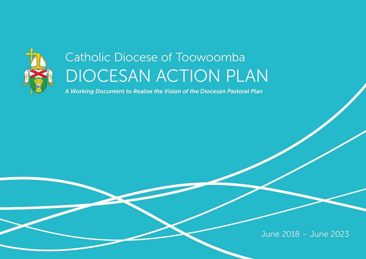

# Catholic Diocese of Toowoomba DIOCESAN ACTION PLAN

*A Working Document to Realise the Vision of the Diocesan Pastoral Plan*

June 2018 – June 2023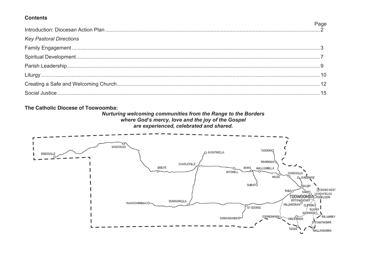## **Contents**

| <b>Key Pastoral Directions</b> |  |
|--------------------------------|--|
|                                |  |
|                                |  |
|                                |  |
|                                |  |
|                                |  |
|                                |  |
|                                |  |

The Catholic Diocese of Toowoomba:

Nurturing welcoming communities from the Range to the Borders where God's mercy, love and the joy of the Gospel are experienced, celebrated and shared.

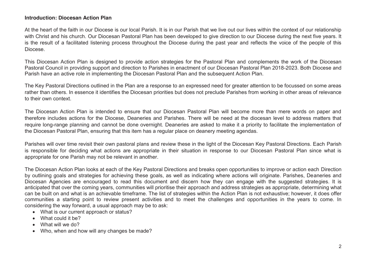### **Introduction: Diocesan Action Plan**

At the heart of the faith in our Diocese is our local Parish. It is in our Parish that we live out our lives within the context of our relationship with Christ and his church. Our Diocesan Pastoral Plan has been developed to give direction to our Diocese during the next five years. It is the result of a facilitated listening process throughout the Diocese during the past year and reflects the voice of the people of this Diocese.

This Diocesan Action Plan is designed to provide action strategies for the Pastoral Plan and complements the work of the Diocesan Pastoral Council in providing support and direction to Parishes in enactment of our Diocesan Pastoral Plan 2018-2023. Both Diocese and Parish have an active role in implementing the Diocesan Pastoral Plan and the subsequent Action Plan.

The Key Pastoral Directions outlined in the Plan are a response to an expressed need for greater attention to be focussed on some areas rather than others. In essence it identifies the Diocesan priorities but does not preclude Parishes from working in other areas of relevance to their own context.

The Diocesan Action Plan is intended to ensure that our Diocesan Pastoral Plan will become more than mere words on paper and therefore includes actions for the Diocese, Deaneries and Parishes. There will be need at the diocesan level to address matters that require long-range planning and cannot be done overnight. Deaneries are asked to make it a priority to facilitate the implementation of the Diocesan Pastoral Plan, ensuring that this item has a regular place on deanery meeting agendas.

Parishes will over time revisit their own pastoral plans and review these in the light of the Diocesan Key Pastoral Directions. Each Parish is responsible for deciding what actions are appropriate in their situation in response to our Diocesan Pastoral Plan since what is appropriate for one Parish may not be relevant in another.

The Diocesan Action Plan looks at each of the Key Pastoral Directions and breaks open opportunities to improve or action each Direction by outlining goals and strategies for achieving these goals, as well as indicating where actions will originate. Parishes, Deaneries and Diocesan Agencies are encouraged to read this document and discern how they can engage with the suggested strategies. It is anticipated that over the coming years, communities will prioritise their approach and address strategies as appropriate, determining what can be built on and what is an achievable timeframe. The list of strategies within the Action Plan is not exhaustive; however, it does offer communities a starting point to review present activities and to meet the challenges and opportunities in the years to come. In considering the way forward, a usual approach may be to ask:

- What is our current approach or status?
- What could it be?
- What will we do?
- Who, when and how will any changes be made?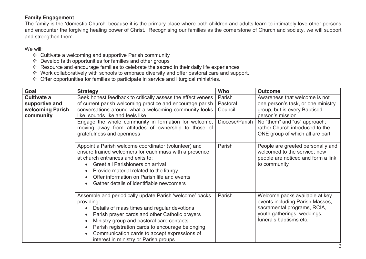## **Family Engagement**

The family is the 'domestic Church' because it is the primary place where both children and adults learn to intimately love other persons and encounter the forgiving healing power of Christ. Recognising our families as the cornerstone of Church and society, we will support and strengthen them.

- ❖ Cultivate a welcoming and supportive Parish community
- ❖ Develop faith opportunities for families and other groups
- ❖ Resource and encourage families to celebrate the sacred in their daily life experiences
- ❖ Work collaboratively with schools to embrace diversity and offer pastoral care and support.
- ❖ Offer opportunities for families to participate in service and liturgical ministries.

| Goal                                              | <b>Strategy</b>                                                                                                                                                                                                                                                                                                                                                  | Who                           | <b>Outcome</b>                                                                                                                                            |
|---------------------------------------------------|------------------------------------------------------------------------------------------------------------------------------------------------------------------------------------------------------------------------------------------------------------------------------------------------------------------------------------------------------------------|-------------------------------|-----------------------------------------------------------------------------------------------------------------------------------------------------------|
| Cultivate a<br>supportive and<br>welcoming Parish | Seek honest feedback to critically assess the effectiveness<br>of current parish welcoming practice and encourage parish<br>conversations around what a welcoming community looks                                                                                                                                                                                | Parish<br>Pastoral<br>Council | Awareness that welcome is not<br>one person's task, or one ministry<br>group, but is every Baptised                                                       |
| community                                         | like, sounds like and feels like<br>Engage the whole community in formation for welcome,<br>moving away from attitudes of ownership to those of<br>gratefulness and openness                                                                                                                                                                                     | Diocese/Parish                | person's mission<br>No "them" and "us" approach;<br>rather Church introduced to the<br>ONE group of which all are part                                    |
|                                                   | Appoint a Parish welcome coordinator (volunteer) and<br>ensure trained welcomers for each mass with a presence<br>at church entrances and exits to:<br>Greet all Parishioners on arrival<br>Provide material related to the liturgy<br>Offer information on Parish life and events<br>Gather details of identifiable newcomers                                   | Parish                        | People are greeted personally and<br>welcomed to the service; new<br>people are noticed and form a link<br>to community                                   |
|                                                   | Assemble and periodically update Parish 'welcome' packs<br>providing:<br>Details of mass times and regular devotions<br>Parish prayer cards and other Catholic prayers<br>Ministry group and pastoral care contacts<br>Parish registration cards to encourage belonging<br>Communication cards to accept expressions of<br>interest in ministry or Parish groups | Parish                        | Welcome packs available at key<br>events including Parish Masses,<br>sacramental programs, RCIA,<br>youth gatherings, weddings,<br>funerals baptisms etc. |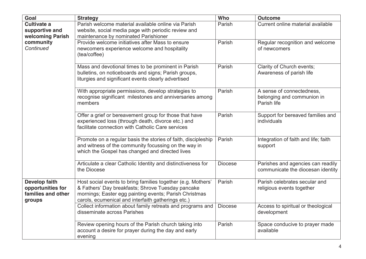| Goal                                                                               | <b>Strategy</b>                                                                                                                                                                                                                   | Who            | <b>Outcome</b>                                                         |
|------------------------------------------------------------------------------------|-----------------------------------------------------------------------------------------------------------------------------------------------------------------------------------------------------------------------------------|----------------|------------------------------------------------------------------------|
| <b>Cultivate a</b><br>supportive and<br>welcoming Parish<br>community<br>Continued | Parish welcome material available online via Parish<br>website, social media page with periodic review and<br>maintenance by nominated Parishioner                                                                                | Parish         | Current online material available                                      |
|                                                                                    | Provide welcome initiatives after Mass to ensure<br>newcomers experience welcome and hospitality<br>(tea/coffee)                                                                                                                  | Parish         | Regular recognition and welcome<br>of newcomers                        |
|                                                                                    | Mass and devotional times to be prominent in Parish<br>bulletins, on noticeboards and signs; Parish groups,<br>liturgies and significant events clearly advertised                                                                | Parish         | Clarity of Church events;<br>Awareness of parish life                  |
|                                                                                    | With appropriate permissions, develop strategies to<br>recognise significant milestones and anniversaries among<br>members                                                                                                        | Parish         | A sense of connectedness,<br>belonging and communion in<br>Parish life |
|                                                                                    | Offer a grief or bereavement group for those that have<br>experienced loss (through death, divorce etc.) and<br>facilitate connection with Catholic Care services                                                                 | Parish         | Support for bereaved families and<br>individuals                       |
|                                                                                    | Promote on a regular basis the stories of faith, discipleship<br>and witness of the community focussing on the way in<br>which the Gospel has changed and directed lives                                                          | Parish         | Integration of faith and life; faith<br>support                        |
|                                                                                    | Articulate a clear Catholic Identity and distinctiveness for<br>the Diocese                                                                                                                                                       | <b>Diocese</b> | Parishes and agencies can readily<br>communicate the diocesan identity |
| <b>Develop faith</b><br>opportunities for<br>families and other<br>groups          | Host social events to bring families together (e.g. Mothers'<br>& Fathers' Day breakfasts; Shrove Tuesday pancake<br>mornings; Easter egg painting events; Parish Christmas<br>carols, ecumenical and interfaith gatherings etc.) | Parish         | Parish celebrates secular and<br>religious events together             |
|                                                                                    | Collect information about family retreats and programs and<br>disseminate across Parishes                                                                                                                                         | <b>Diocese</b> | Access to spiritual or theological<br>development                      |
|                                                                                    | Review opening hours of the Parish church taking into<br>account a desire for prayer during the day and early<br>evening                                                                                                          | Parish         | Space conducive to prayer made<br>available                            |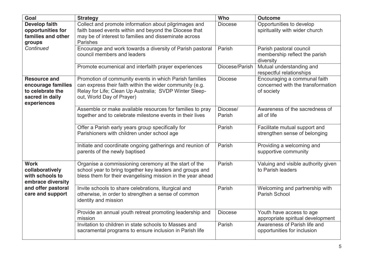| Goal                                                                                            | <b>Strategy</b>                                                                                                                                                                                           | Who                | <b>Outcome</b>                                                                  |
|-------------------------------------------------------------------------------------------------|-----------------------------------------------------------------------------------------------------------------------------------------------------------------------------------------------------------|--------------------|---------------------------------------------------------------------------------|
| <b>Develop faith</b><br>opportunities for<br>families and other<br>groups                       | Collect and promote information about pilgrimages and<br>faith based events within and beyond the Diocese that<br>may be of interest to families and disseminate across<br>Parishes                       | <b>Diocese</b>     | Opportunities to develop<br>spirituality with wider church                      |
| Continued                                                                                       | Encourage and work towards a diversity of Parish pastoral<br>council members and leaders                                                                                                                  | Parish             | Parish pastoral council<br>membership reflect the parish<br>diversity           |
|                                                                                                 | Promote ecumenical and interfaith prayer experiences                                                                                                                                                      | Diocese/Parish     | Mutual understanding and<br>respectful relationships                            |
| <b>Resource and</b><br>encourage families<br>to celebrate the<br>sacred in daily<br>experiences | Promotion of community events in which Parish families<br>can express their faith within the wider community (e.g.<br>Relay for Life; Clean Up Australia; SVDP Winter Sleep-<br>out, World Day of Prayer) | <b>Diocese</b>     | Encouraging a communal faith<br>concerned with the transformation<br>of society |
|                                                                                                 | Assemble or make available resources for families to pray<br>together and to celebrate milestone events in their lives                                                                                    | Diocese/<br>Parish | Awareness of the sacredness of<br>all of life                                   |
|                                                                                                 | Offer a Parish early years group specifically for<br>Parishioners with children under school age                                                                                                          | Parish             | Facilitate mutual support and<br>strengthen sense of belonging                  |
|                                                                                                 | Initiate and coordinate ongoing gatherings and reunion of<br>parents of the newly baptised                                                                                                                | Parish             | Providing a welcoming and<br>supportive community                               |
| <b>Work</b><br>collaboratively<br>with schools to<br>embrace diversity                          | Organise a commissioning ceremony at the start of the<br>school year to bring together key leaders and groups and<br>bless them for their evangelising mission in the year ahead                          | Parish             | Valuing and visible authority given<br>to Parish leaders                        |
| and offer pastoral<br>care and support                                                          | Invite schools to share celebrations, liturgical and<br>otherwise, in order to strengthen a sense of common<br>identity and mission                                                                       | Parish             | Welcoming and partnership with<br>Parish School                                 |
|                                                                                                 | Provide an annual youth retreat promoting leadership and<br>mission                                                                                                                                       | <b>Diocese</b>     | Youth have access to age<br>appropriate spiritual development                   |
|                                                                                                 | Invitation to children in state schools to Masses and<br>sacramental programs to ensure inclusion in Parish life                                                                                          | Parish             | Awareness of Parish life and<br>opportunities for inclusion                     |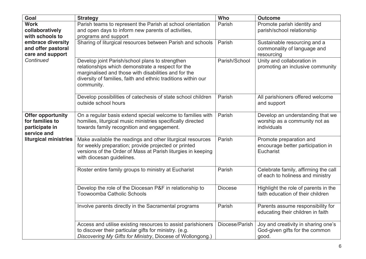| Goal                                                                         | <b>Strategy</b>                                                                                                                                                                                                                             | Who            | <b>Outcome</b>                                                                   |
|------------------------------------------------------------------------------|---------------------------------------------------------------------------------------------------------------------------------------------------------------------------------------------------------------------------------------------|----------------|----------------------------------------------------------------------------------|
| <b>Work</b>                                                                  | Parish teams to represent the Parish at school orientation                                                                                                                                                                                  | Parish         | Promote parish identity and                                                      |
| collaboratively<br>with schools to                                           | and open days to inform new parents of activities,                                                                                                                                                                                          |                | parish/school relationship                                                       |
| embrace diversity                                                            | programs and support<br>Sharing of liturgical resources between Parish and schools                                                                                                                                                          | Parish         | Sustainable resourcing and a                                                     |
| and offer pastoral                                                           |                                                                                                                                                                                                                                             |                | commonality of language and                                                      |
| care and support                                                             |                                                                                                                                                                                                                                             |                | resourcing                                                                       |
| Continued                                                                    | Develop joint Parish/school plans to strengthen<br>relationships which demonstrate a respect for the<br>marginalised and those with disabilities and for the<br>diversity of families, faith and ethnic traditions within our<br>community. | Parish/School  | Unity and collaboration in<br>promoting an inclusive community                   |
|                                                                              | Develop possibilities of catechesis of state school children<br>outside school hours                                                                                                                                                        | Parish         | All parishioners offered welcome<br>and support                                  |
| <b>Offer opportunity</b><br>for families to<br>participate in<br>service and | On a regular basis extend special welcome to families with<br>homilies, liturgical music ministries specifically directed<br>towards family recognition and engagement.                                                                     | Parish         | Develop an understanding that we<br>worship as a community not as<br>individuals |
| liturgical ministries                                                        | Make available the readings and other liturgical resources<br>for weekly preparation; provide projected or printed<br>versions of the Order of Mass at Parish liturgies in keeping<br>with diocesan guidelines.                             | Parish         | Promote preparation and<br>encourage better participation in<br>Eucharist        |
|                                                                              | Roster entire family groups to ministry at Eucharist                                                                                                                                                                                        | Parish         | Celebrate family, affirming the call<br>of each to holiness and ministry         |
|                                                                              | Develop the role of the Diocesan P&F in relationship to<br><b>Toowoomba Catholic Schools</b>                                                                                                                                                | <b>Diocese</b> | Highlight the role of parents in the<br>faith education of their children        |
|                                                                              | Involve parents directly in the Sacramental programs                                                                                                                                                                                        | Parish         | Parents assume responsibility for<br>educating their children in faith           |
|                                                                              | Access and utilise existing resources to assist parishioners<br>to discover their particular gifts for ministry. (e.g.<br>Discovering My Gifts for Ministry, Diocese of Wollongong.)                                                        | Diocese/Parish | Joy and creativity in sharing one's<br>God-given gifts for the common<br>good.   |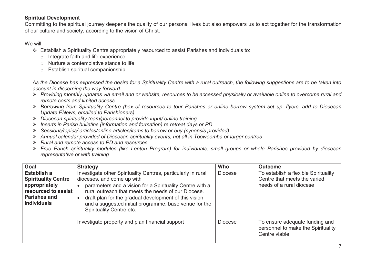# **Spiritual Development**

Committing to the spiritual journey deepens the quality of our personal lives but also empowers us to act together for the transformation of our culture and society, according to the vision of Christ.

#### We will:

- ❖ Establish a Spirituality Centre appropriately resourced to assist Parishes and individuals to:
	- o Integrate faith and life experience
	- o Nurture a contemplative stance to life
	- o Establish spiritual companionship

*As the Diocese has expressed the desire for a Spirituality Centre with a rural outreach, the following suggestions are to be taken into account in discerning the way forward:* 

- ➢ *Providing monthly updates via email and or website, resources to be accessed physically or available online to overcome rural and remote costs and limited access*
- ➢ *Borrowing from Spirituality Centre (box of resources to tour Parishes or online borrow system set up, flyers, add to Diocesan Update ENews, emailed to Parishioners)*
- ➢ *Diocesan spirituality team/personnel to provide input/ online training*
- ➢ *Inserts in Parish bulletins (information and formation) re retreat days or PD*
- ➢ *Sessions/topics/ articles/online articles/items to borrow or buy (synopsis provided)*
- ➢ *Annual calendar provided of Diocesan spirituality events, not all in Toowoomba or larger centres*
- ➢ *Rural and remote access to PD and resources*
- ➢ *Free Parish spirituality modules (like Lenten Program) for individuals, small groups or whole Parishes provided by diocesan representative or with training*

| Goal                                                                                                                           | <b>Strategy</b>                                                                                                                                                                                                                                                                                                                                              | Who            | <b>Outcome</b>                                                                                   |
|--------------------------------------------------------------------------------------------------------------------------------|--------------------------------------------------------------------------------------------------------------------------------------------------------------------------------------------------------------------------------------------------------------------------------------------------------------------------------------------------------------|----------------|--------------------------------------------------------------------------------------------------|
| Establish a<br><b>Spirituality Centre</b><br>appropriately<br>resourced to assist<br><b>Parishes and</b><br><b>individuals</b> | Investigate other Spirituality Centres, particularly in rural<br>dioceses, and come up with<br>parameters and a vision for a Spirituality Centre with a<br>rural outreach that meets the needs of our Diocese.<br>draft plan for the gradual development of this vision<br>and a suggested initial programme, base venue for the<br>Spirituality Centre etc. | <b>Diocese</b> | To establish a flexible Spirituality<br>Centre that meets the varied<br>needs of a rural diocese |
|                                                                                                                                | Investigate property and plan financial support                                                                                                                                                                                                                                                                                                              | <b>Diocese</b> | To ensure adequate funding and<br>personnel to make the Spirituality<br>Centre viable            |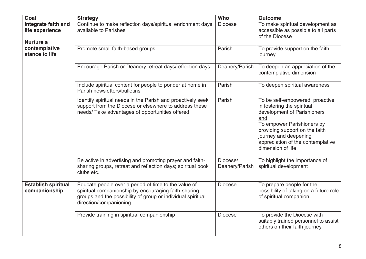| Goal                                                | <b>Strategy</b>                                                                                                                                                                                       | Who                        | <b>Outcome</b>                                                                                                                                                                                                                                         |
|-----------------------------------------------------|-------------------------------------------------------------------------------------------------------------------------------------------------------------------------------------------------------|----------------------------|--------------------------------------------------------------------------------------------------------------------------------------------------------------------------------------------------------------------------------------------------------|
| Integrate faith and<br>life experience<br>Nurture a | Continue to make reflection days/spiritual enrichment days<br>available to Parishes                                                                                                                   | <b>Diocese</b>             | To make spiritual development as<br>accessible as possible to all parts<br>of the Diocese                                                                                                                                                              |
| contemplative<br>stance to life                     | Promote small faith-based groups                                                                                                                                                                      | Parish                     | To provide support on the faith<br>journey                                                                                                                                                                                                             |
|                                                     | Encourage Parish or Deanery retreat days/reflection days                                                                                                                                              | Deanery/Parish             | To deepen an appreciation of the<br>contemplative dimension                                                                                                                                                                                            |
|                                                     | Include spiritual content for people to ponder at home in<br>Parish newsletters/bulletins                                                                                                             | Parish                     | To deepen spiritual awareness                                                                                                                                                                                                                          |
|                                                     | Identify spiritual needs in the Parish and proactively seek<br>support from the Diocese or elsewhere to address these<br>needs/ Take advantages of opportunities offered                              | Parish                     | To be self-empowered, proactive<br>in fostering the spiritual<br>development of Parishioners<br>and<br>To empower Parishioners by<br>providing support on the faith<br>journey and deepening<br>appreciation of the contemplative<br>dimension of life |
|                                                     | Be active in advertising and promoting prayer and faith-<br>sharing groups, retreat and reflection days; spiritual book<br>clubs etc.                                                                 | Diocese/<br>Deanery/Parish | To highlight the importance of<br>spiritual development                                                                                                                                                                                                |
| <b>Establish spiritual</b><br>companionship         | Educate people over a period of time to the value of<br>spiritual companionship by encouraging faith-sharing<br>groups and the possibility of group or individual spiritual<br>direction/companioning | <b>Diocese</b>             | To prepare people for the<br>possibility of taking on a future role<br>of spiritual companion                                                                                                                                                          |
|                                                     | Provide training in spiritual companionship                                                                                                                                                           | <b>Diocese</b>             | To provide the Diocese with<br>suitably trained personnel to assist<br>others on their faith journey                                                                                                                                                   |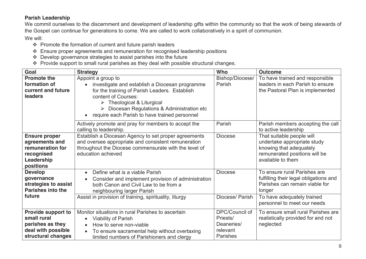# **Parish Leadership**

We commit ourselves to the discernment and development of leadership gifts within the community so that the work of being stewards of the Gospel can continue for generations to come. We are called to work collaboratively in a spirit of communion.

- ❖ Promote the formation of current and future parish leaders
- ❖ Ensure proper agreements and remuneration for recognised leadership positions
- ❖ Develop governance strategies to assist parishes into the future
- ❖ Provide support to small rural parishes as they deal with possible structural changes.

| Goal                                                                                                | <b>Strategy</b>                                                                                                                                                                                                                                                                              | Who                                                              | <b>Outcome</b>                                                                                                                            |
|-----------------------------------------------------------------------------------------------------|----------------------------------------------------------------------------------------------------------------------------------------------------------------------------------------------------------------------------------------------------------------------------------------------|------------------------------------------------------------------|-------------------------------------------------------------------------------------------------------------------------------------------|
| <b>Promote the</b><br>formation of<br>current and future<br><b>leaders</b>                          | Appoint a group to<br>investigate and establish a Diocesan programme<br>for the training of Parish Leaders. Establish<br>content of Courses:<br>$\triangleright$ Theological & Liturgical<br>Diocesan Regulations & Administration etc<br>➤<br>require each Parish to have trained personnel | Bishop/Diocese/<br>Parish                                        | To have trained and responsible<br>leaders in each Parish to ensure<br>the Pastoral Plan is implemented                                   |
|                                                                                                     | Actively promote and pray for members to accept the<br>calling to leadership.                                                                                                                                                                                                                | Parish                                                           | Parish members accepting the call<br>to active leadership                                                                                 |
| <b>Ensure proper</b><br>agreements and<br>remuneration for<br>recognised<br>Leadership<br>positions | Establish a Diocesan Agency to set proper agreements<br>and oversee appropriate and consistent remuneration<br>throughout the Diocese commensurate with the level of<br>education achieved                                                                                                   | <b>Diocese</b>                                                   | That suitable people will<br>undertake appropriate study<br>knowing that adequately<br>remunerated positions will be<br>available to them |
| <b>Develop</b><br>governance<br>strategies to assist<br><b>Parishes into the</b>                    | Define what is a viable Parish<br>$\bullet$<br>Consider and implement provision of administration<br>both Canon and Civil Law to be from a<br>neighbouring larger Parish                                                                                                                     | <b>Diocese</b>                                                   | To ensure rural Parishes are<br>fulfilling their legal obligations and<br>Parishes can remain viable for<br>longer                        |
| future                                                                                              | Assist in provision of training, spirituality, liturgy                                                                                                                                                                                                                                       | Diocese/ Parish                                                  | To have adequately trained<br>personnel to meet our needs                                                                                 |
| Provide support to<br>small rural<br>parishes as they<br>deal with possible<br>structural changes   | Monitor situations in rural Parishes to ascertain<br><b>Viability of Parish</b><br>$\bullet$<br>How to serve non-viable<br>$\bullet$<br>To ensure sacramental help without overtaxing<br>$\bullet$<br>limited numbers of Parishioners and clergy                                             | DPC/Council of<br>Priests/<br>Deaneries/<br>relevant<br>Parishes | To ensure small rural Parishes are<br>realistically provided for and not<br>neglected                                                     |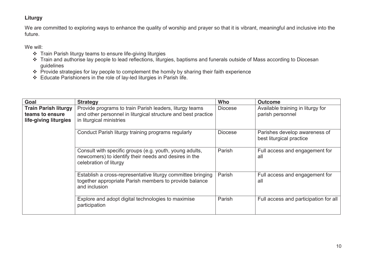# **Liturgy**

We are committed to exploring ways to enhance the quality of worship and prayer so that it is vibrant, meaningful and inclusive into the future.

- ❖ Train Parish liturgy teams to ensure life-giving liturgies
- ❖ Train and authorise lay people to lead reflections, liturgies, baptisms and funerals outside of Mass according to Diocesan guidelines
- ❖ Provide strategies for lay people to complement the homily by sharing their faith experience
- ❖ Educate Parishioners in the role of lay-led liturgies in Parish life.

| Goal                                                                    | <b>Strategy</b>                                                                                                                                      | Who            | <b>Outcome</b>                                            |
|-------------------------------------------------------------------------|------------------------------------------------------------------------------------------------------------------------------------------------------|----------------|-----------------------------------------------------------|
| <b>Train Parish liturgy</b><br>teams to ensure<br>life-giving liturgies | Provide programs to train Parish leaders, liturgy teams<br>and other personnel in liturgical structure and best practice<br>in liturgical ministries | <b>Diocese</b> | Available training in liturgy for<br>parish personnel     |
|                                                                         | Conduct Parish liturgy training programs regularly                                                                                                   | <b>Diocese</b> | Parishes develop awareness of<br>best liturgical practice |
|                                                                         | Consult with specific groups (e.g. youth, young adults,<br>newcomers) to identify their needs and desires in the<br>celebration of liturgy           | Parish         | Full access and engagement for<br>all                     |
|                                                                         | Establish a cross-representative liturgy committee bringing<br>together appropriate Parish members to provide balance<br>and inclusion               | Parish         | Full access and engagement for<br>all                     |
|                                                                         | Explore and adopt digital technologies to maximise<br>participation                                                                                  | Parish         | Full access and participation for all                     |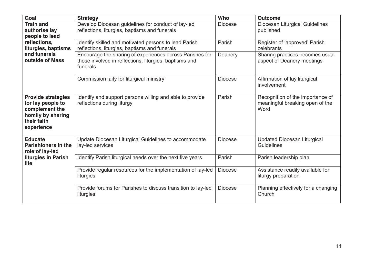| Goal                                                                                                               | <b>Strategy</b>                                                                                                                | Who            | <b>Outcome</b>                                                              |
|--------------------------------------------------------------------------------------------------------------------|--------------------------------------------------------------------------------------------------------------------------------|----------------|-----------------------------------------------------------------------------|
| <b>Train and</b><br>authorise lay<br>people to lead                                                                | Develop Diocesan guidelines for conduct of lay-led<br>reflections, liturgies, baptisms and funerals                            | <b>Diocese</b> | Diocesan Liturgical Guidelines<br>published                                 |
| reflections,<br>liturgies, baptisms                                                                                | Identify skilled and motivated persons to lead Parish<br>reflections, liturgies, baptisms and funerals                         | Parish         | Register of 'approved' Parish<br>celebrants                                 |
| and funerals<br>outside of Mass                                                                                    | Encourage the sharing of experiences across Parishes for<br>those involved in reflections, liturgies, baptisms and<br>funerals | Deanery        | Sharing practices becomes usual<br>aspect of Deanery meetings               |
|                                                                                                                    | Commission laity for liturgical ministry                                                                                       | <b>Diocese</b> | Affirmation of lay liturgical<br>involvement                                |
| <b>Provide strategies</b><br>for lay people to<br>complement the<br>homily by sharing<br>their faith<br>experience | Identify and support persons willing and able to provide<br>reflections during liturgy                                         | Parish         | Recognition of the importance of<br>meaningful breaking open of the<br>Word |
| <b>Educate</b><br><b>Parishioners in the</b><br>role of lay-led                                                    | Update Diocesan Liturgical Guidelines to accommodate<br>lay-led services                                                       | <b>Diocese</b> | <b>Updated Diocesan Liturgical</b><br>Guidelines                            |
| liturgies in Parish<br>life                                                                                        | Identify Parish liturgical needs over the next five years                                                                      | Parish         | Parish leadership plan                                                      |
|                                                                                                                    | Provide regular resources for the implementation of lay-led<br>liturgies                                                       | <b>Diocese</b> | Assistance readily available for<br>liturgy preparation                     |
|                                                                                                                    | Provide forums for Parishes to discuss transition to lay-led<br>liturgies                                                      | <b>Diocese</b> | Planning effectively for a changing<br>Church                               |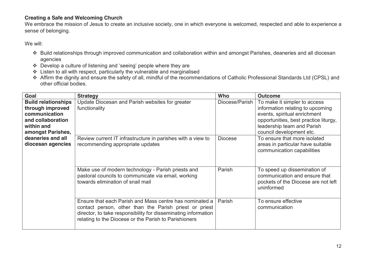# **Creating a Safe and Welcoming Church**

We embrace the mission of Jesus to create an inclusive society, one in which everyone is welcomed, respected and able to experience a sense of belonging.

- ❖ Build relationships through improved communication and collaboration within and amongst Parishes, deaneries and all diocesan agencies
- ❖ Develop a culture of listening and 'seeing' people where they are
- ❖ Listen to all with respect, particularly the vulnerable and marginalised
- ❖ Affirm the dignity and ensure the safety of all, mindful of the recommendations of Catholic Professional Standards Ltd (CPSL) and other official bodies.

| Goal                                                                                                                                                              | <b>Strategy</b>                                                                                                                                                                                                                              | Who            | <b>Outcome</b>                                                                                                                                                                                      |
|-------------------------------------------------------------------------------------------------------------------------------------------------------------------|----------------------------------------------------------------------------------------------------------------------------------------------------------------------------------------------------------------------------------------------|----------------|-----------------------------------------------------------------------------------------------------------------------------------------------------------------------------------------------------|
| <b>Build relationships</b><br>through improved<br>communication<br>and collaboration<br>within and<br>amongst Parishes,<br>deaneries and all<br>diocesan agencies | Update Diocesan and Parish websites for greater<br>functionality                                                                                                                                                                             | Diocese/Parish | To make it simpler to access<br>information relating to upcoming<br>events, spiritual enrichment<br>opportunities, best practice liturgy,<br>leadership team and Parish<br>council development etc. |
|                                                                                                                                                                   | Review current IT infrastructure in parishes with a view to<br>recommending appropriate updates                                                                                                                                              | <b>Diocese</b> | To ensure that more isolated<br>areas in particular have suitable<br>communication capabilities                                                                                                     |
|                                                                                                                                                                   | Make use of modern technology - Parish priests and<br>pastoral councils to communicate via email, working<br>towards elimination of snail mail                                                                                               | Parish         | To speed up dissemination of<br>communication and ensure that<br>pockets of the Diocese are not left<br>uninformed                                                                                  |
|                                                                                                                                                                   | Ensure that each Parish and Mass centre has nominated a<br>contact person, other than the Parish priest or priest<br>director, to take responsibility for disseminating information<br>relating to the Diocese or the Parish to Parishioners | Parish         | To ensure effective<br>communication                                                                                                                                                                |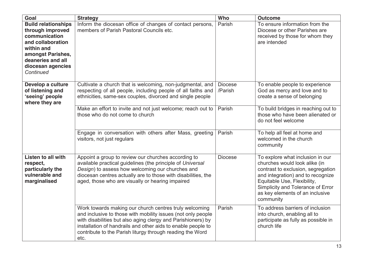| <b>Goal</b>                                                                                                                                                                    | <b>Strategy</b>                                                                                                                                                                                                                                                                                                             | Who                       | <b>Outcome</b>                                                                                                                                                                                                                                                   |
|--------------------------------------------------------------------------------------------------------------------------------------------------------------------------------|-----------------------------------------------------------------------------------------------------------------------------------------------------------------------------------------------------------------------------------------------------------------------------------------------------------------------------|---------------------------|------------------------------------------------------------------------------------------------------------------------------------------------------------------------------------------------------------------------------------------------------------------|
| <b>Build relationships</b><br>through improved<br>communication<br>and collaboration<br>within and<br>amongst Parishes,<br>deaneries and all<br>diocesan agencies<br>Continued | Inform the diocesan office of changes of contact persons,<br>members of Parish Pastoral Councils etc.                                                                                                                                                                                                                       | Parish                    | To ensure information from the<br>Diocese or other Parishes are<br>received by those for whom they<br>are intended                                                                                                                                               |
| Develop a culture<br>of listening and<br>'seeing' people<br>where they are                                                                                                     | Cultivate a church that is welcoming, non-judgmental, and<br>respecting of all people, including people of all faiths and<br>ethnicities, same-sex couples, divorced and single people                                                                                                                                      | <b>Diocese</b><br>/Parish | To enable people to experience<br>God as mercy and love and to<br>create a sense of belonging                                                                                                                                                                    |
|                                                                                                                                                                                | Make an effort to invite and not just welcome; reach out to<br>those who do not come to church                                                                                                                                                                                                                              | Parish                    | To build bridges in reaching out to<br>those who have been alienated or<br>do not feel welcome                                                                                                                                                                   |
|                                                                                                                                                                                | Engage in conversation with others after Mass, greeting<br>visitors, not just regulars                                                                                                                                                                                                                                      | Parish                    | To help all feel at home and<br>welcomed in the church<br>community                                                                                                                                                                                              |
| Listen to all with<br>respect,<br>particularly the<br>vulnerable and<br>marginalised                                                                                           | Appoint a group to review our churches according to<br>available practical guidelines (the principle of Universal<br>Design) to assess how welcoming our churches and<br>diocesan centres actually are to those with disabilities, the<br>aged, those who are visually or hearing impaired                                  | <b>Diocese</b>            | To explore what inclusion in our<br>churches would look alike (in<br>contrast to exclusion, segregation<br>and integration) and to recognize<br>Equitable Use, Flexibility,<br>Simplicity and Tolerance of Error<br>as key elements of an inclusive<br>community |
|                                                                                                                                                                                | Work towards making our church centres truly welcoming<br>and inclusive to those with mobility issues (not only people<br>with disabilities but also aging clergy and Parishioners) by<br>installation of handrails and other aids to enable people to<br>contribute to the Parish liturgy through reading the Word<br>etc. | Parish                    | To address barriers of inclusion<br>into church, enabling all to<br>participate as fully as possible in<br>church life                                                                                                                                           |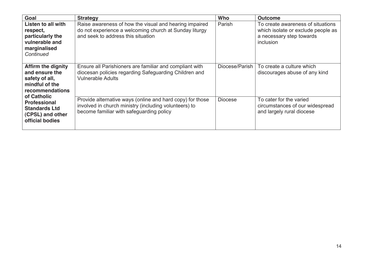| Goal                                                                                                              | <b>Strategy</b>                                                                                                                                                | Who            | <b>Outcome</b>                                                                                                   |
|-------------------------------------------------------------------------------------------------------------------|----------------------------------------------------------------------------------------------------------------------------------------------------------------|----------------|------------------------------------------------------------------------------------------------------------------|
| Listen to all with<br>respect,<br>particularly the<br>vulnerable and<br>marginalised<br>Continued                 | Raise awareness of how the visual and hearing impaired<br>do not experience a welcoming church at Sunday liturgy<br>and seek to address this situation         | Parish         | To create awareness of situations<br>which isolate or exclude people as<br>a necessary step towards<br>inclusion |
| <b>Affirm the dignity</b><br>and ensure the<br>safety of all,<br>mindful of the<br>recommendations<br>of Catholic | Ensure all Parishioners are familiar and compliant with<br>diocesan policies regarding Safeguarding Children and<br><b>Vulnerable Adults</b>                   | Diocese/Parish | To create a culture which<br>discourages abuse of any kind                                                       |
| <b>Professional</b><br><b>Standards Ltd</b><br>(CPSL) and other<br>official bodies                                | Provide alternative ways (online and hard copy) for those<br>involved in church ministry (including volunteers) to<br>become familiar with safeguarding policy | <b>Diocese</b> | To cater for the varied<br>circumstances of our widespread<br>and largely rural diocese                          |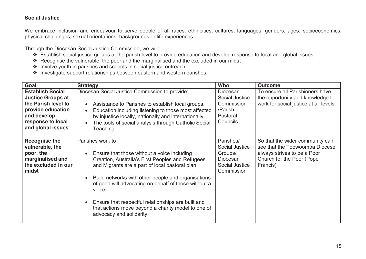### **Social Justice**

We embrace inclusion and endeavour to serve people of all races, ethnicities, cultures, languages, genders, ages, socioeconomics, physical challenges, sexual orientations, backgrounds or life experiences.

Through the Diocesan Social Justice Commission, we will:

- ❖ Establish social justice groups at the parish level to provide education and develop response to local and global issues
- ❖ Recognise the vulnerable, the poor and the marginalised and the excluded in our midst
- ❖ Involve youth in parishes and schools in social justice outreach
- ❖ Investigate support relationships between eastern and western parishes.

| Goal                                                                                                                                                     | <b>Strategy</b>                                                                                                                                                                                                                                                                                                                                                                                                                     | <b>Who</b>                                                                         | <b>Outcome</b>                                                                                                                            |
|----------------------------------------------------------------------------------------------------------------------------------------------------------|-------------------------------------------------------------------------------------------------------------------------------------------------------------------------------------------------------------------------------------------------------------------------------------------------------------------------------------------------------------------------------------------------------------------------------------|------------------------------------------------------------------------------------|-------------------------------------------------------------------------------------------------------------------------------------------|
| <b>Establish Social</b><br><b>Justice Groups at</b><br>the Parish level to<br>provide education<br>and develop<br>response to local<br>and global issues | Diocesan Social Justice Commission to provide:<br>Assistance to Parishes to establish local groups.<br>Education including listening to those most affected<br>by injustice locally, nationally and internationally.<br>The tools of social analysis through Catholic Social<br>Teaching                                                                                                                                            | Diocesan<br>Social Justice<br>Commission<br>/Parish<br>Pastoral<br>Councils        | To ensure all Parishioners have<br>the opportunity and knowledge to<br>work for social justice at all levels                              |
| <b>Recognise the</b><br>vulnerable, the<br>poor, the<br>marginalised and<br>the excluded in our<br>midst                                                 | Parishes work to<br>Ensure that those without a voice including<br>Creation, Australia's First Peoples and Refugees<br>and Migrants are a part of local pastoral plan<br>Build networks with other people and organisations<br>of good will advocating on behalf of those without a<br>voice<br>Ensure that respectful relationships are built and<br>that actions move beyond a charity model to one of<br>advocacy and solidarity | Parishes/<br>Social Justice<br>Groups/<br>Diocesan<br>Social Justice<br>Commission | So that the wider community can<br>see that the Toowoomba Diocese<br>always strives to be a Poor<br>Church for the Poor (Pope<br>Francis) |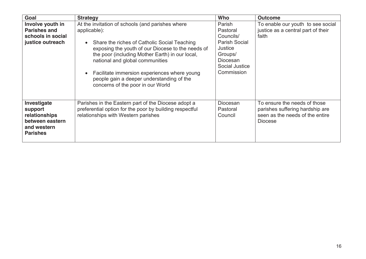| Goal                                                                                         | <b>Strategy</b>                                                                                                                                                                                                                                                                                                                                                                               | Who                                                                                                                       | <b>Outcome</b>                                                                                                       |
|----------------------------------------------------------------------------------------------|-----------------------------------------------------------------------------------------------------------------------------------------------------------------------------------------------------------------------------------------------------------------------------------------------------------------------------------------------------------------------------------------------|---------------------------------------------------------------------------------------------------------------------------|----------------------------------------------------------------------------------------------------------------------|
| Involve youth in<br><b>Parishes and</b><br>schools in social<br>justice outreach             | At the invitation of schools (and parishes where<br>applicable):<br>Share the riches of Catholic Social Teaching<br>exposing the youth of our Diocese to the needs of<br>the poor (including Mother Earth) in our local,<br>national and global communities<br>Facilitate immersion experiences where young<br>people gain a deeper understanding of the<br>concerns of the poor in our World | Parish<br>Pastoral<br>Councils/<br><b>Parish Social</b><br>Justice<br>Groups/<br>Diocesan<br>Social Justice<br>Commission | To enable our youth to see social<br>justice as a central part of their<br>faith                                     |
| Investigate<br>support<br>relationships<br>between eastern<br>and western<br><b>Parishes</b> | Parishes in the Eastern part of the Diocese adopt a<br>preferential option for the poor by building respectful<br>relationships with Western parishes                                                                                                                                                                                                                                         | <b>Diocesan</b><br>Pastoral<br>Council                                                                                    | To ensure the needs of those<br>parishes suffering hardship are<br>seen as the needs of the entire<br><b>Diocese</b> |